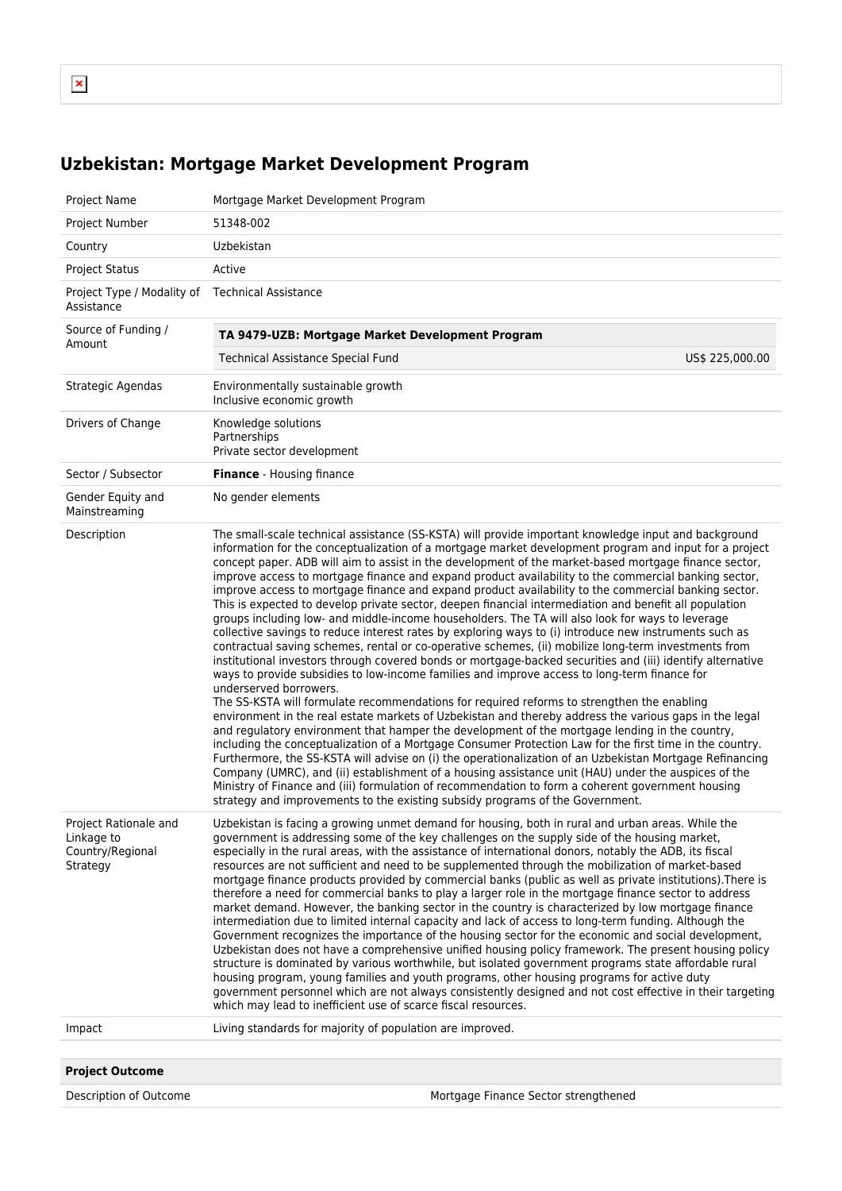## **Uzbekistan: Mortgage Market Development Program**

| Project Name                                                        | Mortgage Market Development Program                                                                                                                                                                                                                                                                                                                                                                                                                                                                                                                                                                                                                                                                                                                                                                                                                                                                                                                                                                                                                                                                                                                                                                                                                                                                                                                                                                                                                                                                                                                                                                                                                                                                                                                                                                                                                                                                                                                                                                                                            |  |
|---------------------------------------------------------------------|------------------------------------------------------------------------------------------------------------------------------------------------------------------------------------------------------------------------------------------------------------------------------------------------------------------------------------------------------------------------------------------------------------------------------------------------------------------------------------------------------------------------------------------------------------------------------------------------------------------------------------------------------------------------------------------------------------------------------------------------------------------------------------------------------------------------------------------------------------------------------------------------------------------------------------------------------------------------------------------------------------------------------------------------------------------------------------------------------------------------------------------------------------------------------------------------------------------------------------------------------------------------------------------------------------------------------------------------------------------------------------------------------------------------------------------------------------------------------------------------------------------------------------------------------------------------------------------------------------------------------------------------------------------------------------------------------------------------------------------------------------------------------------------------------------------------------------------------------------------------------------------------------------------------------------------------------------------------------------------------------------------------------------------------|--|
| Project Number                                                      | 51348-002                                                                                                                                                                                                                                                                                                                                                                                                                                                                                                                                                                                                                                                                                                                                                                                                                                                                                                                                                                                                                                                                                                                                                                                                                                                                                                                                                                                                                                                                                                                                                                                                                                                                                                                                                                                                                                                                                                                                                                                                                                      |  |
| Country                                                             | Uzbekistan                                                                                                                                                                                                                                                                                                                                                                                                                                                                                                                                                                                                                                                                                                                                                                                                                                                                                                                                                                                                                                                                                                                                                                                                                                                                                                                                                                                                                                                                                                                                                                                                                                                                                                                                                                                                                                                                                                                                                                                                                                     |  |
| <b>Project Status</b>                                               | Active                                                                                                                                                                                                                                                                                                                                                                                                                                                                                                                                                                                                                                                                                                                                                                                                                                                                                                                                                                                                                                                                                                                                                                                                                                                                                                                                                                                                                                                                                                                                                                                                                                                                                                                                                                                                                                                                                                                                                                                                                                         |  |
| Project Type / Modality of Technical Assistance<br>Assistance       |                                                                                                                                                                                                                                                                                                                                                                                                                                                                                                                                                                                                                                                                                                                                                                                                                                                                                                                                                                                                                                                                                                                                                                                                                                                                                                                                                                                                                                                                                                                                                                                                                                                                                                                                                                                                                                                                                                                                                                                                                                                |  |
| Source of Funding /<br>Amount                                       | TA 9479-UZB: Mortgage Market Development Program                                                                                                                                                                                                                                                                                                                                                                                                                                                                                                                                                                                                                                                                                                                                                                                                                                                                                                                                                                                                                                                                                                                                                                                                                                                                                                                                                                                                                                                                                                                                                                                                                                                                                                                                                                                                                                                                                                                                                                                               |  |
|                                                                     | <b>Technical Assistance Special Fund</b><br>US\$ 225,000.00                                                                                                                                                                                                                                                                                                                                                                                                                                                                                                                                                                                                                                                                                                                                                                                                                                                                                                                                                                                                                                                                                                                                                                                                                                                                                                                                                                                                                                                                                                                                                                                                                                                                                                                                                                                                                                                                                                                                                                                    |  |
| Strategic Agendas                                                   | Environmentally sustainable growth<br>Inclusive economic growth                                                                                                                                                                                                                                                                                                                                                                                                                                                                                                                                                                                                                                                                                                                                                                                                                                                                                                                                                                                                                                                                                                                                                                                                                                                                                                                                                                                                                                                                                                                                                                                                                                                                                                                                                                                                                                                                                                                                                                                |  |
| Drivers of Change                                                   | Knowledge solutions<br>Partnerships<br>Private sector development                                                                                                                                                                                                                                                                                                                                                                                                                                                                                                                                                                                                                                                                                                                                                                                                                                                                                                                                                                                                                                                                                                                                                                                                                                                                                                                                                                                                                                                                                                                                                                                                                                                                                                                                                                                                                                                                                                                                                                              |  |
| Sector / Subsector                                                  | <b>Finance</b> - Housing finance                                                                                                                                                                                                                                                                                                                                                                                                                                                                                                                                                                                                                                                                                                                                                                                                                                                                                                                                                                                                                                                                                                                                                                                                                                                                                                                                                                                                                                                                                                                                                                                                                                                                                                                                                                                                                                                                                                                                                                                                               |  |
| Gender Equity and<br>Mainstreaming                                  | No gender elements                                                                                                                                                                                                                                                                                                                                                                                                                                                                                                                                                                                                                                                                                                                                                                                                                                                                                                                                                                                                                                                                                                                                                                                                                                                                                                                                                                                                                                                                                                                                                                                                                                                                                                                                                                                                                                                                                                                                                                                                                             |  |
| Description                                                         | The small-scale technical assistance (SS-KSTA) will provide important knowledge input and background<br>information for the conceptualization of a mortgage market development program and input for a project<br>concept paper. ADB will aim to assist in the development of the market-based mortgage finance sector,<br>improve access to mortgage finance and expand product availability to the commercial banking sector,<br>improve access to mortgage finance and expand product availability to the commercial banking sector.<br>This is expected to develop private sector, deepen financial intermediation and benefit all population<br>groups including low- and middle-income householders. The TA will also look for ways to leverage<br>collective savings to reduce interest rates by exploring ways to (i) introduce new instruments such as<br>contractual saving schemes, rental or co-operative schemes, (ii) mobilize long-term investments from<br>institutional investors through covered bonds or mortgage-backed securities and (iii) identify alternative<br>ways to provide subsidies to low-income families and improve access to long-term finance for<br>underserved borrowers.<br>The SS-KSTA will formulate recommendations for required reforms to strengthen the enabling<br>environment in the real estate markets of Uzbekistan and thereby address the various gaps in the legal<br>and regulatory environment that hamper the development of the mortgage lending in the country,<br>including the conceptualization of a Mortgage Consumer Protection Law for the first time in the country.<br>Furthermore, the SS-KSTA will advise on (i) the operationalization of an Uzbekistan Mortgage Refinancing<br>Company (UMRC), and (ii) establishment of a housing assistance unit (HAU) under the auspices of the<br>Ministry of Finance and (iii) formulation of recommendation to form a coherent government housing<br>strategy and improvements to the existing subsidy programs of the Government. |  |
| Project Rationale and<br>Linkage to<br>Country/Regional<br>Strategy | Uzbekistan is facing a growing unmet demand for housing, both in rural and urban areas. While the<br>government is addressing some of the key challenges on the supply side of the housing market,<br>especially in the rural areas, with the assistance of international donors, notably the ADB, its fiscal<br>resources are not sufficient and need to be supplemented through the mobilization of market-based<br>mortgage finance products provided by commercial banks (public as well as private institutions). There is<br>therefore a need for commercial banks to play a larger role in the mortgage finance sector to address<br>market demand. However, the banking sector in the country is characterized by low mortgage finance<br>intermediation due to limited internal capacity and lack of access to long-term funding. Although the<br>Government recognizes the importance of the housing sector for the economic and social development,<br>Uzbekistan does not have a comprehensive unified housing policy framework. The present housing policy<br>structure is dominated by various worthwhile, but isolated government programs state affordable rural<br>housing program, young families and youth programs, other housing programs for active duty<br>government personnel which are not always consistently designed and not cost effective in their targeting<br>which may lead to inefficient use of scarce fiscal resources.                                                                                                                                                                                                                                                                                                                                                                                                                                                                                                                                                                                   |  |
| Impact                                                              | Living standards for majority of population are improved.                                                                                                                                                                                                                                                                                                                                                                                                                                                                                                                                                                                                                                                                                                                                                                                                                                                                                                                                                                                                                                                                                                                                                                                                                                                                                                                                                                                                                                                                                                                                                                                                                                                                                                                                                                                                                                                                                                                                                                                      |  |
|                                                                     |                                                                                                                                                                                                                                                                                                                                                                                                                                                                                                                                                                                                                                                                                                                                                                                                                                                                                                                                                                                                                                                                                                                                                                                                                                                                                                                                                                                                                                                                                                                                                                                                                                                                                                                                                                                                                                                                                                                                                                                                                                                |  |
| <b>Project Outcome</b>                                              |                                                                                                                                                                                                                                                                                                                                                                                                                                                                                                                                                                                                                                                                                                                                                                                                                                                                                                                                                                                                                                                                                                                                                                                                                                                                                                                                                                                                                                                                                                                                                                                                                                                                                                                                                                                                                                                                                                                                                                                                                                                |  |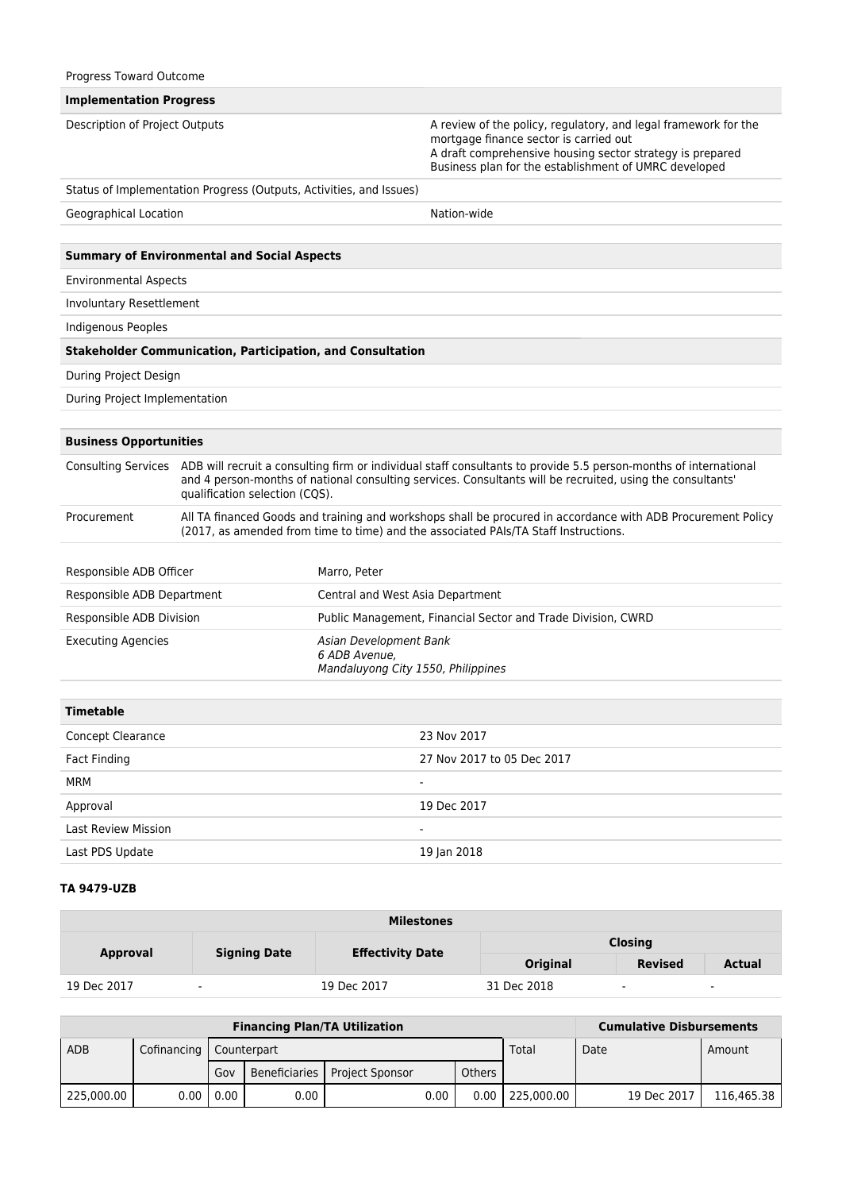| Progress Toward Outcome        |                                                                                                                                                                                                                                                                                      |                                                                               |                                                                                                                                                                                                                                 |  |  |  |
|--------------------------------|--------------------------------------------------------------------------------------------------------------------------------------------------------------------------------------------------------------------------------------------------------------------------------------|-------------------------------------------------------------------------------|---------------------------------------------------------------------------------------------------------------------------------------------------------------------------------------------------------------------------------|--|--|--|
| <b>Implementation Progress</b> |                                                                                                                                                                                                                                                                                      |                                                                               |                                                                                                                                                                                                                                 |  |  |  |
| Description of Project Outputs |                                                                                                                                                                                                                                                                                      |                                                                               | A review of the policy, regulatory, and legal framework for the<br>mortgage finance sector is carried out<br>A draft comprehensive housing sector strategy is prepared<br>Business plan for the establishment of UMRC developed |  |  |  |
|                                | Status of Implementation Progress (Outputs, Activities, and Issues)                                                                                                                                                                                                                  |                                                                               |                                                                                                                                                                                                                                 |  |  |  |
| Geographical Location          |                                                                                                                                                                                                                                                                                      |                                                                               | Nation-wide                                                                                                                                                                                                                     |  |  |  |
|                                |                                                                                                                                                                                                                                                                                      |                                                                               |                                                                                                                                                                                                                                 |  |  |  |
|                                | <b>Summary of Environmental and Social Aspects</b>                                                                                                                                                                                                                                   |                                                                               |                                                                                                                                                                                                                                 |  |  |  |
| <b>Environmental Aspects</b>   |                                                                                                                                                                                                                                                                                      |                                                                               |                                                                                                                                                                                                                                 |  |  |  |
| Involuntary Resettlement       |                                                                                                                                                                                                                                                                                      |                                                                               |                                                                                                                                                                                                                                 |  |  |  |
| Indigenous Peoples             |                                                                                                                                                                                                                                                                                      |                                                                               |                                                                                                                                                                                                                                 |  |  |  |
|                                | <b>Stakeholder Communication, Participation, and Consultation</b>                                                                                                                                                                                                                    |                                                                               |                                                                                                                                                                                                                                 |  |  |  |
| During Project Design          |                                                                                                                                                                                                                                                                                      |                                                                               |                                                                                                                                                                                                                                 |  |  |  |
| During Project Implementation  |                                                                                                                                                                                                                                                                                      |                                                                               |                                                                                                                                                                                                                                 |  |  |  |
|                                |                                                                                                                                                                                                                                                                                      |                                                                               |                                                                                                                                                                                                                                 |  |  |  |
| <b>Business Opportunities</b>  |                                                                                                                                                                                                                                                                                      |                                                                               |                                                                                                                                                                                                                                 |  |  |  |
|                                | Consulting Services ADB will recruit a consulting firm or individual staff consultants to provide 5.5 person-months of international<br>and 4 person-months of national consulting services. Consultants will be recruited, using the consultants'<br>qualification selection (CQS). |                                                                               |                                                                                                                                                                                                                                 |  |  |  |
| Procurement                    | All TA financed Goods and training and workshops shall be procured in accordance with ADB Procurement Policy<br>(2017, as amended from time to time) and the associated PAIs/TA Staff Instructions.                                                                                  |                                                                               |                                                                                                                                                                                                                                 |  |  |  |
| Responsible ADB Officer        |                                                                                                                                                                                                                                                                                      | Marro, Peter                                                                  |                                                                                                                                                                                                                                 |  |  |  |
| Responsible ADB Department     |                                                                                                                                                                                                                                                                                      | Central and West Asia Department                                              |                                                                                                                                                                                                                                 |  |  |  |
| Responsible ADB Division       |                                                                                                                                                                                                                                                                                      | Public Management, Financial Sector and Trade Division, CWRD                  |                                                                                                                                                                                                                                 |  |  |  |
| <b>Executing Agencies</b>      |                                                                                                                                                                                                                                                                                      | Asian Development Bank<br>6 ADB Avenue,<br>Mandaluyong City 1550, Philippines |                                                                                                                                                                                                                                 |  |  |  |
| <b>Timetable</b>               |                                                                                                                                                                                                                                                                                      |                                                                               |                                                                                                                                                                                                                                 |  |  |  |
| Concept Clearance              |                                                                                                                                                                                                                                                                                      |                                                                               | 23 Nov 2017                                                                                                                                                                                                                     |  |  |  |
| <b>Fact Finding</b>            |                                                                                                                                                                                                                                                                                      | 27 Nov 2017 to 05 Dec 2017                                                    |                                                                                                                                                                                                                                 |  |  |  |
| <b>MRM</b>                     |                                                                                                                                                                                                                                                                                      | $\blacksquare$                                                                |                                                                                                                                                                                                                                 |  |  |  |
| Approval                       |                                                                                                                                                                                                                                                                                      |                                                                               | 19 Dec 2017                                                                                                                                                                                                                     |  |  |  |
| <b>Last Review Mission</b>     |                                                                                                                                                                                                                                                                                      |                                                                               |                                                                                                                                                                                                                                 |  |  |  |
| Last PDS Update                |                                                                                                                                                                                                                                                                                      |                                                                               | 19 Jan 2018                                                                                                                                                                                                                     |  |  |  |
|                                |                                                                                                                                                                                                                                                                                      |                                                                               |                                                                                                                                                                                                                                 |  |  |  |

## **TA 9479-UZB**

| <b>Milestones</b> |                          |                         |                 |                          |               |  |
|-------------------|--------------------------|-------------------------|-----------------|--------------------------|---------------|--|
| <b>Approval</b>   | <b>Signing Date</b>      |                         | <b>Closing</b>  |                          |               |  |
|                   |                          | <b>Effectivity Date</b> | <b>Original</b> | <b>Revised</b>           | <b>Actual</b> |  |
| 19 Dec 2017       | $\overline{\phantom{a}}$ | 19 Dec 2017             | 31 Dec 2018     | $\overline{\phantom{a}}$ | ٠             |  |

| <b>Financing Plan/TA Utilization</b> |                           |          |      |                                 |      |        |            | <b>Cumulative Disbursements</b> |             |            |
|--------------------------------------|---------------------------|----------|------|---------------------------------|------|--------|------------|---------------------------------|-------------|------------|
| <b>ADB</b>                           | Cofinancing   Counterpart |          |      |                                 |      |        | Total      | Date                            |             | Amount     |
|                                      |                           | Gov      |      | Beneficiaries   Project Sponsor |      | Others |            |                                 |             |            |
| 225.000.00                           | 0.00                      | $0.00$ 1 | 0.00 |                                 | 0.00 | 0.00   | 225,000,00 |                                 | 19 Dec 2017 | 116.465.38 |